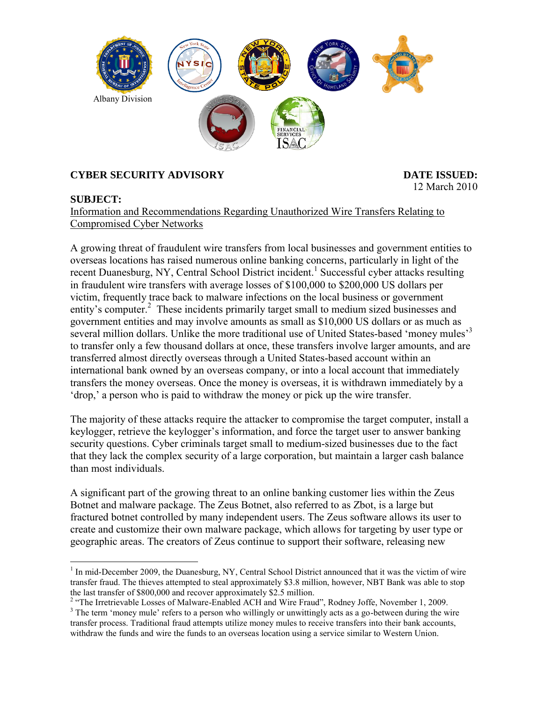

## **CYBER SECURITY ADVISORY DATE ISSUED:**

# 12 March 2010

## **SUBJECT:**

Information and Recommendations Regarding Unauthorized Wire Transfers Relating to Compromised Cyber Networks

A growing threat of fraudulent wire transfers from local businesses and government entities to overseas locations has raised numerous online banking concerns, particularly in light of the recent Duanesburg, NY, Central School District incident.<sup>1</sup> Successful cyber attacks resulting in fraudulent wire transfers with average losses of \$100,000 to \$200,000 US dollars per victim, frequently trace back to malware infections on the local business or government entity's computer.<sup>2</sup> These incidents primarily target small to medium sized businesses and government entities and may involve amounts as small as \$10,000 US dollars or as much as several million dollars. Unlike the more traditional use of United States-based 'money mules'<sup>3</sup> to transfer only a few thousand dollars at once, these transfers involve larger amounts, and are transferred almost directly overseas through a United States-based account within an international bank owned by an overseas company, or into a local account that immediately transfers the money overseas. Once the money is overseas, it is withdrawn immediately by a "drop," a person who is paid to withdraw the money or pick up the wire transfer.

The majority of these attacks require the attacker to compromise the target computer, install a keylogger, retrieve the keylogger"s information, and force the target user to answer banking security questions. Cyber criminals target small to medium-sized businesses due to the fact that they lack the complex security of a large corporation, but maintain a larger cash balance than most individuals.

A significant part of the growing threat to an online banking customer lies within the Zeus Botnet and malware package. The Zeus Botnet, also referred to as Zbot, is a large but fractured botnet controlled by many independent users. The Zeus software allows its user to create and customize their own malware package, which allows for targeting by user type or geographic areas. The creators of Zeus continue to support their software, releasing new

 $\overline{a}$ <sup>1</sup> In mid-December 2009, the Duanesburg, NY, Central School District announced that it was the victim of wire transfer fraud. The thieves attempted to steal approximately \$3.8 million, however, NBT Bank was able to stop the last transfer of \$800,000 and recover approximately \$2.5 million.

<sup>&</sup>lt;sup>2</sup> "The Irretrievable Losses of Malware-Enabled ACH and Wire Fraud", Rodney Joffe, November 1, 2009.

<sup>&</sup>lt;sup>3</sup> The term 'money mule' refers to a person who willingly or unwittingly acts as a go-between during the wire transfer process. Traditional fraud attempts utilize money mules to receive transfers into their bank accounts, withdraw the funds and wire the funds to an overseas location using a service similar to Western Union.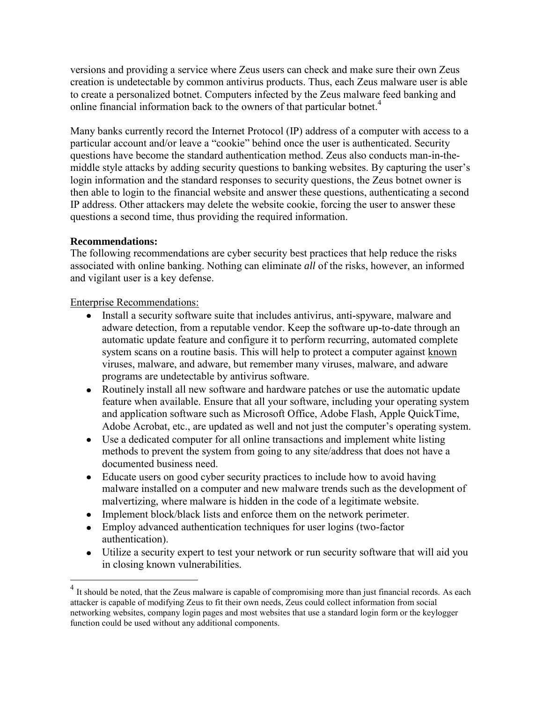versions and providing a service where Zeus users can check and make sure their own Zeus creation is undetectable by common antivirus products. Thus, each Zeus malware user is able to create a personalized botnet. Computers infected by the Zeus malware feed banking and online financial information back to the owners of that particular botnet.<sup>4</sup>

Many banks currently record the Internet Protocol (IP) address of a computer with access to a particular account and/or leave a "cookie" behind once the user is authenticated. Security questions have become the standard authentication method. Zeus also conducts man-in-themiddle style attacks by adding security questions to banking websites. By capturing the user's login information and the standard responses to security questions, the Zeus botnet owner is then able to login to the financial website and answer these questions, authenticating a second IP address. Other attackers may delete the website cookie, forcing the user to answer these questions a second time, thus providing the required information.

#### **Recommendations:**

 $\overline{a}$ 

The following recommendations are cyber security best practices that help reduce the risks associated with online banking. Nothing can eliminate *all* of the risks, however, an informed and vigilant user is a key defense.

#### Enterprise Recommendations:

- Install a security software suite that includes antivirus, anti-spyware, malware and  $\bullet$ adware detection, from a reputable vendor. Keep the software up-to-date through an automatic update feature and configure it to perform recurring, automated complete system scans on a routine basis. This will help to protect a computer against known viruses, malware, and adware, but remember many viruses, malware, and adware programs are undetectable by antivirus software.
- Routinely install all new software and hardware patches or use the automatic update feature when available. Ensure that all your software, including your operating system and application software such as Microsoft Office, Adobe Flash, Apple QuickTime, Adobe Acrobat, etc., are updated as well and not just the computer's operating system.
- Use a dedicated computer for all online transactions and implement white listing methods to prevent the system from going to any site/address that does not have a documented business need.
- Educate users on good cyber security practices to include how to avoid having malware installed on a computer and new malware trends such as the development of malvertizing, where malware is hidden in the code of a legitimate website.
- Implement block/black lists and enforce them on the network perimeter.
- Employ advanced authentication techniques for user logins (two-factor authentication).
- $\bullet$ Utilize a security expert to test your network or run security software that will aid you in closing known vulnerabilities.

<sup>4</sup> It should be noted, that the Zeus malware is capable of compromising more than just financial records. As each attacker is capable of modifying Zeus to fit their own needs, Zeus could collect information from social networking websites, company login pages and most websites that use a standard login form or the keylogger function could be used without any additional components.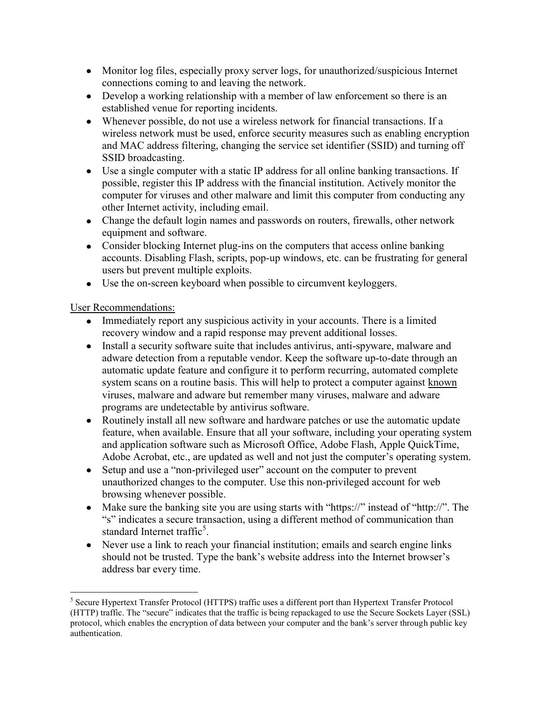- Monitor log files, especially proxy server logs, for unauthorized/suspicious Internet connections coming to and leaving the network.
- Develop a working relationship with a member of law enforcement so there is an established venue for reporting incidents.
- Whenever possible, do not use a wireless network for financial transactions. If a wireless network must be used, enforce security measures such as enabling encryption and MAC address filtering, changing the service set identifier (SSID) and turning off SSID broadcasting.
- Use a single computer with a static IP address for all online banking transactions. If possible, register this IP address with the financial institution. Actively monitor the computer for viruses and other malware and limit this computer from conducting any other Internet activity, including email.
- Change the default login names and passwords on routers, firewalls, other network equipment and software.
- Consider blocking Internet plug-ins on the computers that access online banking accounts. Disabling Flash, scripts, pop-up windows, etc. can be frustrating for general users but prevent multiple exploits.
- Use the on-screen keyboard when possible to circumvent keyloggers.

User Recommendations:

- Immediately report any suspicious activity in your accounts. There is a limited recovery window and a rapid response may prevent additional losses.
- Install a security software suite that includes antivirus, anti-spyware, malware and  $\bullet$ adware detection from a reputable vendor. Keep the software up-to-date through an automatic update feature and configure it to perform recurring, automated complete system scans on a routine basis. This will help to protect a computer against known viruses, malware and adware but remember many viruses, malware and adware programs are undetectable by antivirus software.
- Routinely install all new software and hardware patches or use the automatic update feature, when available. Ensure that all your software, including your operating system and application software such as Microsoft Office, Adobe Flash, Apple QuickTime, Adobe Acrobat, etc., are updated as well and not just the computer's operating system.
- Setup and use a "non-privileged user" account on the computer to prevent unauthorized changes to the computer. Use this non-privileged account for web browsing whenever possible.
- Make sure the banking site you are using starts with "https://" instead of "http://". The "s" indicates a secure transaction, using a different method of communication than standard Internet traffic<sup>5</sup>.
- Never use a link to reach your financial institution; emails and search engine links should not be trusted. Type the bank's website address into the Internet browser's address bar every time.

 $\overline{a}$ <sup>5</sup> Secure Hypertext Transfer Protocol (HTTPS) traffic uses a different port than Hypertext Transfer Protocol (HTTP) traffic. The "secure" indicates that the traffic is being repackaged to use the Secure Sockets Layer (SSL) protocol, which enables the encryption of data between your computer and the bank"s server through public key authentication.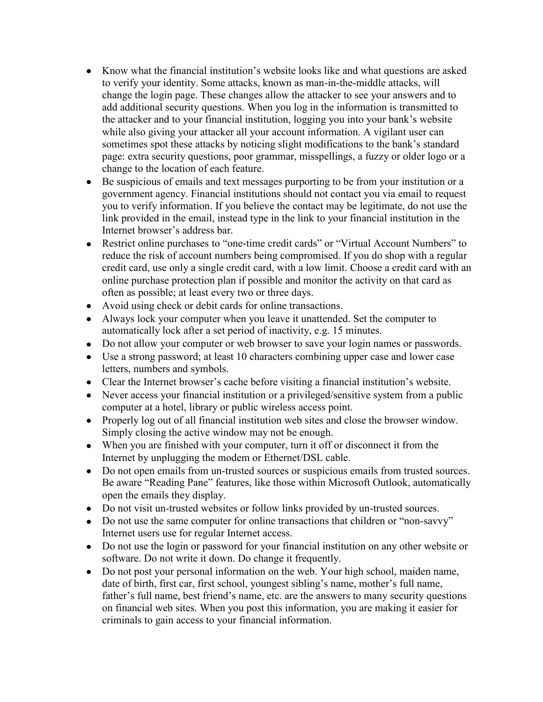- Know what the financial institution"s website looks like and what questions are asked to verify your identity. Some attacks, known as man-in-the-middle attacks, will change the login page. These changes allow the attacker to see your answers and to add additional security questions. When you log in the information is transmitted to the attacker and to your financial institution, logging you into your bank"s website while also giving your attacker all your account information. A vigilant user can sometimes spot these attacks by noticing slight modifications to the bank's standard page: extra security questions, poor grammar, misspellings, a fuzzy or older logo or a change to the location of each feature.
- Be suspicious of emails and text messages purporting to be from your institution or a government agency. Financial institutions should not contact you via email to request you to verify information. If you believe the contact may be legitimate, do not use the link provided in the email, instead type in the link to your financial institution in the Internet browser"s address bar.
- $\bullet$ Restrict online purchases to "one-time credit cards" or "Virtual Account Numbers" to reduce the risk of account numbers being compromised. If you do shop with a regular credit card, use only a single credit card, with a low limit. Choose a credit card with an online purchase protection plan if possible and monitor the activity on that card as often as possible; at least every two or three days.
- Avoid using check or debit cards for online transactions.
- Always lock your computer when you leave it unattended. Set the computer to  $\bullet$ automatically lock after a set period of inactivity, e.g. 15 minutes.
- Do not allow your computer or web browser to save your login names or passwords.  $\bullet$
- Use a strong password; at least 10 characters combining upper case and lower case letters, numbers and symbols.
- Clear the Internet browser"s cache before visiting a financial institution"s website.
- Never access your financial institution or a privileged/sensitive system from a public computer at a hotel, library or public wireless access point.
- Properly log out of all financial institution web sites and close the browser window. Simply closing the active window may not be enough.
- When you are finished with your computer, turn it off or disconnect it from the Internet by unplugging the modem or Ethernet/DSL cable.
- Do not open emails from un-trusted sources or suspicious emails from trusted sources.  $\bullet$ Be aware "Reading Pane" features, like those within Microsoft Outlook, automatically open the emails they display.
- Do not visit un-trusted websites or follow links provided by un-trusted sources.  $\bullet$
- Do not use the same computer for online transactions that children or "non-savvy" Internet users use for regular Internet access.
- Do not use the login or password for your financial institution on any other website or software. Do not write it down. Do change it frequently.
- Do not post your personal information on the web. Your high school, maiden name,  $\bullet$ date of birth, first car, first school, youngest sibling's name, mother's full name, father's full name, best friend's name, etc. are the answers to many security questions on financial web sites. When you post this information, you are making it easier for criminals to gain access to your financial information.